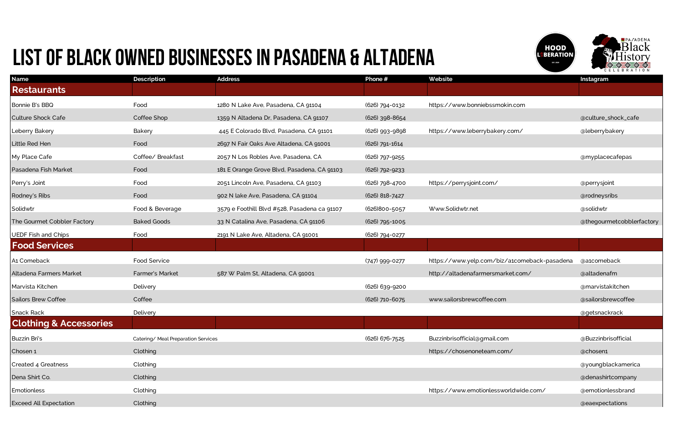| <b>Name</b>                       | <b>Description</b>                 | <b>Address</b>                               | Phone #        | Website                                      | Instagram                 |
|-----------------------------------|------------------------------------|----------------------------------------------|----------------|----------------------------------------------|---------------------------|
| <b>Restaurants</b>                |                                    |                                              |                |                                              |                           |
| Bonnie B's BBQ                    | Food                               | 1280 N Lake Ave, Pasadena, CA 91104          | (626) 794-0132 | https://www.bonniebssmokin.com               |                           |
| <b>Culture Shock Cafe</b>         | Coffee Shop                        | 1359 N Altadena Dr, Pasadena, CA 91107       | (626) 398-8654 |                                              | @culture_shock_cafe       |
| Leberry Bakery                    | Bakery                             | 445 E Colorado Blvd, Pasadena, CA 91101      | (626) 993-9898 | https://www.leberrybakery.com/               | @leberrybakery            |
| Little Red Hen                    | Food                               | 2697 N Fair Oaks Ave Altadena, CA 91001      | (626) 791-1614 |                                              |                           |
| My Place Cafe                     | Coffee/ Breakfast                  | 2057 N Los Robles Ave, Pasadena, CA          | (626) 797-9255 |                                              | @myplacecafepas           |
| Pasadena Fish Market              | Food                               | 181 E Orange Grove Blvd, Pasadena, CA 91103  | (626) 792-9233 |                                              |                           |
| Perry's Joint                     | Food                               | 2051 Lincoln Ave, Pasadena, CA 91103         | (626) 798-4700 | https://perrysjoint.com/                     | @perrysjoint              |
| Rodney's Ribs                     | Food                               | 902 N lake Ave, Pasadena, CA 91104           | (626) 818-7427 |                                              | @rodneysribs              |
| Solidwtr                          | Food & Beverage                    | 3579 e Foothill Blvd #528, Pasadena ca 91107 | (626)800-5057  | Www.Solidwtr.net                             | @solidwtr                 |
| The Gourmet Cobbler Factory       | <b>Baked Goods</b>                 | 33 N Catalina Ave, Pasadena, CA 91106        | (626) 795-1005 |                                              | @thegourmetcobblerfactory |
| <b>UEDF Fish and Chips</b>        | Food                               | 2191 N Lake Ave, Altadena, CA 91001          | (626) 794-0277 |                                              |                           |
| <b>Food Services</b>              |                                    |                                              |                |                                              |                           |
| A1 Comeback                       | Food Service                       |                                              | (747) 999-0277 | https://www.yelp.com/biz/a1comeback-pasadena | @a1comeback               |
| Altadena Farmers Market           | Farmer's Market                    | 587 W Palm St, Altadena, CA 91001            |                | http://altadenafarmersmarket.com/            | @altadenafm               |
| Marvista Kitchen                  | Delivery                           |                                              | (626) 639-9200 |                                              | @marvistakitchen          |
| <b>Sailors Brew Coffee</b>        | Coffee                             |                                              | (626) 710-6075 | www.sailorsbrewcoffee.com                    | @sailorsbrewcoffee        |
| <b>Snack Rack</b>                 | Delivery                           |                                              |                |                                              | @getsnackrack             |
| <b>Clothing &amp; Accessories</b> |                                    |                                              |                |                                              |                           |
| Buzzin Bri's                      | Catering/Meal Preparation Services |                                              | (626) 676-7525 | Buzzinbrisofficial@gmail.com                 | @Buzzinbrisofficial       |
| Chosen 1                          | Clothing                           |                                              |                | https://chosenoneteam.com/                   | @chosen1                  |
| Created 4 Greatness               | Clothing                           |                                              |                |                                              | @youngblackamerica        |
| Dena Shirt Co.                    | Clothing                           |                                              |                |                                              | @denashirtcompany         |
| Emotionless                       | Clothing                           |                                              |                | https://www.emotionlessworldwide.com/        | @emotionlessbrand         |
| <b>Exceed All Expectation</b>     | Clothing                           |                                              |                |                                              | @eaexpectations           |





## LIST OF BLACK OWNED BUSINESSES IN Pasadena & Altadena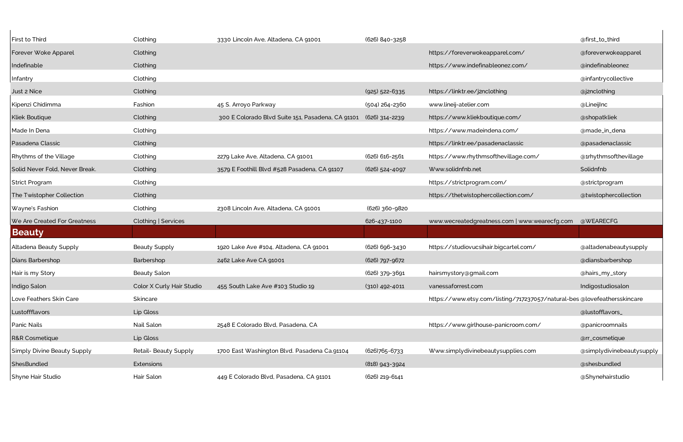| First to Third                     | Clothing                  | 3330 Lincoln Ave, Altadena, CA 91001              | (626) 840-3258   |                                                                          | @first_to_third           |
|------------------------------------|---------------------------|---------------------------------------------------|------------------|--------------------------------------------------------------------------|---------------------------|
| Forever Woke Apparel               | Clothing                  |                                                   |                  | https://foreverwokeapparel.com/                                          | @foreverwokeapparel       |
| Indefinable                        | Clothing                  |                                                   |                  | https://www.indefinableonez.com/                                         | @indefinableonez          |
| Infantry                           | Clothing                  |                                                   |                  |                                                                          | @infantrycollective       |
| Just 2 Nice                        | Clothing                  |                                                   | (925) 522-6335   | https://linktr.ee/j2nclothing                                            | @j2nclothing              |
| Kipenzi Chidimma                   | Fashion                   | 45 S. Arroyo Parkway                              | (504) 264-2360   | www.lineij-atelier.com                                                   | @LineijInc                |
| <b>Kliek Boutique</b>              | Clothing                  | 300 E Colorado Blvd Suite 151, Pasadena, CA 91101 | (626) 314-2239   | https://www.kliekboutique.com/                                           | @shopatkliek              |
| Made In Dena                       | Clothing                  |                                                   |                  | https://www.madeindena.com/                                              | @made_in_dena             |
| Pasadena Classic                   | Clothing                  |                                                   |                  | https://linktr.ee/pasadenaclassic                                        | @pasadenaclassic          |
| <b>Rhythms of the Village</b>      | Clothing                  | 2279 Lake Ave, Altadena, CA 91001                 | (626) 616-2561   | https://www.rhythmsofthevillage.com/                                     | @1rhythmsofthevillage     |
| Solid Never Fold, Never Break.     | Clothing                  | 3579 E Foothill Blvd #528 Pasadena, CA 91107      | (626) 524-4097   | Www.solidnfnb.net                                                        | Solidnfnb                 |
| Strict Program                     | Clothing                  |                                                   |                  | https://strictprogram.com/                                               | @strictprogram            |
| The Twistopher Collection          | Clothing                  |                                                   |                  | https://thetwistophercollection.com/                                     | @twistophercollection     |
| Wayne's Fashion                    | Clothing                  | 2308 Lincoln Ave, Altadena, CA 91001              | (626) 360-9820   |                                                                          |                           |
| We Are Created For Greatness       | Clothing   Services       |                                                   | 626-437-1100     | www.wecreatedgreatness.com   www.wearecfg.com                            | @WEARECFG                 |
| <b>Beauty</b>                      |                           |                                                   |                  |                                                                          |                           |
| Altadena Beauty Supply             | <b>Beauty Supply</b>      | 1920 Lake Ave #104, Altadena, CA 91001            | (626) 696-3430   | https://studiovucsihair.bigcartel.com/                                   | @altadenabeautysupply     |
| Dians Barbershop                   | Barbershop                | 2462 Lake Ave CA 91001                            | (626) 797-9672   |                                                                          | @diansbarbershop          |
| Hair is my Story                   | <b>Beauty Salon</b>       |                                                   | (626) 379-3691   | hairsmystory@gmail.com                                                   | @hairs_my_story           |
| Indigo Salon                       | Color X Curly Hair Studio | 455 South Lake Ave #103 Studio 19                 | $(310)$ 492-4011 | vanessaforrest.com                                                       | Indigostudiosalon         |
| Love Feathers Skin Care            | Skincare                  |                                                   |                  | https://www.etsy.com/listing/717237057/natural-bes @lovefeathersskincare |                           |
| Lustoffflavors                     | Lip Gloss                 |                                                   |                  |                                                                          | @lustofflavors_           |
| <b>Panic Nails</b>                 | Nail Salon                | 2548 E Colorado Blvd, Pasadena, CA                |                  | https://www.girlhouse-panicroom.com/                                     | @panicroomnails           |
| <b>R&amp;R Cosmetique</b>          | Lip Gloss                 |                                                   |                  |                                                                          | @rr_cosmetique            |
| <b>Simply Divine Beauty Supply</b> | Retail- Beauty Supply     | 1700 East Washington Blvd. Pasadena Ca.91104      | (626)765-6733    | Www.simplydivinebeautysupplies.com                                       | @simplydivinebeautysupply |
| ShesBundled                        | Extensions                |                                                   | (818) 943-3924   |                                                                          | @shesbundled              |
| Shyne Hair Studio                  | Hair Salon                | 449 E Colorado Blvd, Pasadena, CA 91101           | (626) 219-6141   |                                                                          | @Shynehairstudio          |
|                                    |                           |                                                   |                  |                                                                          |                           |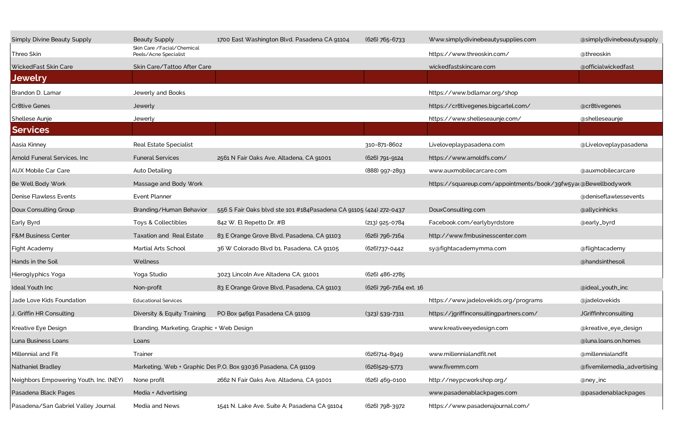| <b>Simply Divine Beauty Supply</b>     | Beauty Supply                                         | 1700 East Washington Blvd. Pasadena CA 91104                       | (626) 765-6733         | Www.simplydivinebeautysupplies.com                             | @simplydivinebeautysupply  |
|----------------------------------------|-------------------------------------------------------|--------------------------------------------------------------------|------------------------|----------------------------------------------------------------|----------------------------|
| Threo Skin                             | Skin Care / Facial/ Chemical<br>Peels/Acne Specialist |                                                                    |                        | https://www.threoskin.com/                                     | @threoskin                 |
| WickedFast Skin Care                   | Skin Care/Tattoo After Care                           |                                                                    |                        | wickedfastskincare.com                                         | @officialwickedfast        |
| <b>Jewelry</b>                         |                                                       |                                                                    |                        |                                                                |                            |
| Brandon D. Lamar                       | Jewerly and Books                                     |                                                                    |                        | https://www.bdlamar.org/shop                                   |                            |
| <b>Cr8tive Genes</b>                   | Jewerly                                               |                                                                    |                        | https://cr8tivegenes.bigcartel.com/                            | @cr8tivegenes              |
| Shellese Aunje                         | Jewerly                                               |                                                                    |                        | https://www.shelleseaunje.com/                                 | @shelleseaunje             |
| <b>Services</b>                        |                                                       |                                                                    |                        |                                                                |                            |
| Aasia Kinney                           | <b>Real Estate Specialist</b>                         |                                                                    | 310-871-8602           | Liveloveplaypasadena.com                                       | @Liveloveplaypasadena      |
| Arnold Funeral Services, Inc           | <b>Funeral Services</b>                               | 2561 N Fair Oaks Ave, Altadena, CA 91001                           | (626) 791-9124         | https://www.arnoldfs.com/                                      |                            |
| <b>AUX Mobile Car Care</b>             | Auto Detailing                                        |                                                                    | (888) 997-2893         | www.auxmobilecarcare.com                                       | @auxmobilecarcare          |
| Be Well Body Work                      | Massage and Body Work                                 |                                                                    |                        | https://squareup.com/appointments/book/39fw5ya(@Bewellbodywork |                            |
| Denise Flawless Events                 | <b>Event Planner</b>                                  |                                                                    |                        |                                                                | @deniseflawlessevents      |
| Doux Consulting Group                  | Branding/Human Behavior                               | 556 S Fair Oaks blvd ste 101 #184 Pasadena CA 91105 (424) 272-0437 |                        | DouxConsulting.com                                             | @allycinhicks              |
| Early Byrd                             | Toys & Collectibles                                   | 842 W. El Repetto Dr. #B                                           | (213) 925-0784         | Facebook.com/earlybyrdstore                                    | @early_byrd                |
| <b>F&amp;M Business Center</b>         | Taxation and Real Estate                              | 83 E Orange Grove Blvd, Pasadena, CA 91103                         | (626) 796-7164         | http://www.fmbusinesscenter.com                                |                            |
| Fight Academy                          | Martial Arts School                                   | 36 W Colorado Blvd b1, Pasadena, CA 91105                          | (626)737-0442          | sy@fightacademymma.com                                         | @flightacademy             |
| Hands in the Soil                      | Wellness                                              |                                                                    |                        |                                                                | @handsinthesoil            |
| Hieroglyphics Yoga                     | Yoga Studio                                           | 3023 Lincoln Ave Altadena CA; 91001                                | (626) 486-2785         |                                                                |                            |
| Ideal Youth Inc                        | Non-profit                                            | 83 E Orange Grove Blvd, Pasadena, CA 91103                         | (626) 796-7164 ext. 16 |                                                                | @ideal_youth_inc           |
| Jade Love Kids Foundation              | <b>Educational Services</b>                           |                                                                    |                        | https://www.jadelovekids.org/programs                          | @jadelovekids              |
| J. Griffin HR Consulting               | Diversity & Equity Training                           | PO Box 94691 Pasadena CA 91109                                     | $(323) 539 - 7311$     | https://jgriffinconsultingpartners.com/                        | JGriffinhrconsulting       |
| Kreative Eye Design                    | Branding, Marketing, Graphic + Web Design             |                                                                    |                        | www.kreativeeyedesign.com                                      | @kreative_eye_design       |
| Luna Business Loans                    | Loans                                                 |                                                                    |                        |                                                                | @luna.loans.on.homes       |
| Millennial and Fit                     | Trainer                                               |                                                                    | (626)714-8949          | www.millennialandfit.net                                       | @millennialandfit          |
| Nathaniel Bradley                      |                                                       | Marketing, Web + Graphic Des P.O. Box 93036 Pasadena, CA 91109     | (626)529-5773          | www.fivemm.com                                                 | @fivemilemedia_advertising |
| Neighbors Empowering Youth, Inc. (NEY) | None profit                                           | 2662 N Fair Oaks Ave, Altadena, CA 91001                           | (626) 469-0100         | http://neypcworkshop.org/                                      | @ney_inc                   |
| Pasadena Black Pages                   | Media + Advertising                                   |                                                                    |                        | www.pasadenablackpages.com                                     | @pasadenablackpages        |
| Pasadena/San Gabriel Valley Journal    | Media and News                                        | 1541 N. Lake Ave. Suite A; Pasadena CA 91104                       | (626) 798-3972         | https://www.pasadenajournal.com/                               |                            |